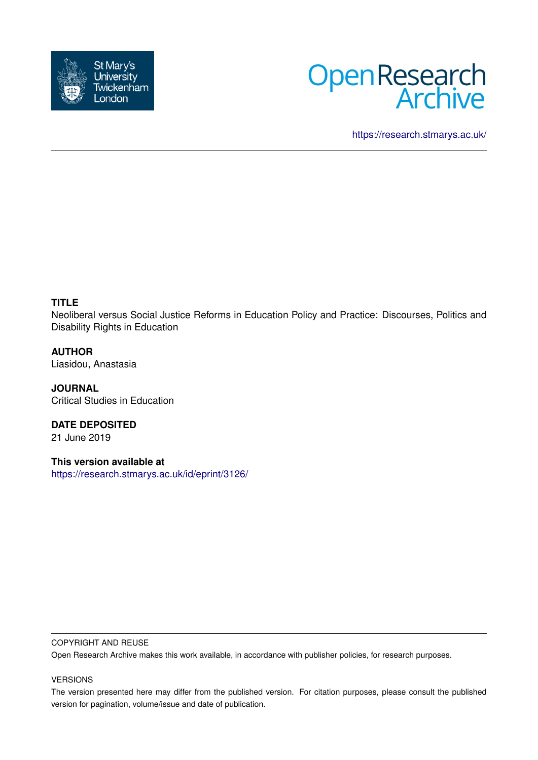



<https://research.stmarys.ac.uk/>

# **TITLE**

Neoliberal versus Social Justice Reforms in Education Policy and Practice: Discourses, Politics and Disability Rights in Education

**AUTHOR** Liasidou, Anastasia

**JOURNAL** Critical Studies in Education

**DATE DEPOSITED** 21 June 2019

**This version available at** <https://research.stmarys.ac.uk/id/eprint/3126/>

### COPYRIGHT AND REUSE

Open Research Archive makes this work available, in accordance with publisher policies, for research purposes.

## VERSIONS

The version presented here may differ from the published version. For citation purposes, please consult the published version for pagination, volume/issue and date of publication.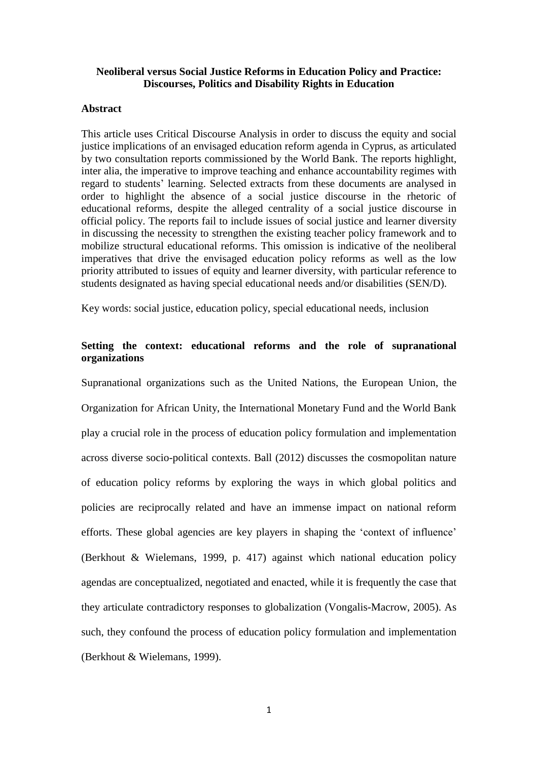# **Neoliberal versus Social Justice Reforms in Education Policy and Practice: Discourses, Politics and Disability Rights in Education**

### **Abstract**

This article uses Critical Discourse Analysis in order to discuss the equity and social justice implications of an envisaged education reform agenda in Cyprus, as articulated by two consultation reports commissioned by the World Bank. The reports highlight, inter alia, the imperative to improve teaching and enhance accountability regimes with regard to students' learning. Selected extracts from these documents are analysed in order to highlight the absence of a social justice discourse in the rhetoric of educational reforms, despite the alleged centrality of a social justice discourse in official policy. The reports fail to include issues of social justice and learner diversity in discussing the necessity to strengthen the existing teacher policy framework and to mobilize structural educational reforms. This omission is indicative of the neoliberal imperatives that drive the envisaged education policy reforms as well as the low priority attributed to issues of equity and learner diversity, with particular reference to students designated as having special educational needs and/or disabilities (SEN/D).

Key words: social justice, education policy, special educational needs, inclusion

# **Setting the context: educational reforms and the role of supranational organizations**

Supranational organizations such as the United Nations, the European Union, the Organization for African Unity, the International Monetary Fund and the World Bank play a crucial role in the process of education policy formulation and implementation across diverse socio-political contexts. Ball (2012) discusses the cosmopolitan nature of education policy reforms by exploring the ways in which global politics and policies are reciprocally related and have an immense impact on national reform efforts. These global agencies are key players in shaping the 'context of influence' (Berkhout & Wielemans, 1999, p. 417) against which national education policy agendas are conceptualized, negotiated and enacted, while it is frequently the case that they articulate contradictory responses to globalization (Vongalis-Macrow, 2005). As such, they confound the process of education policy formulation and implementation (Berkhout & Wielemans, 1999).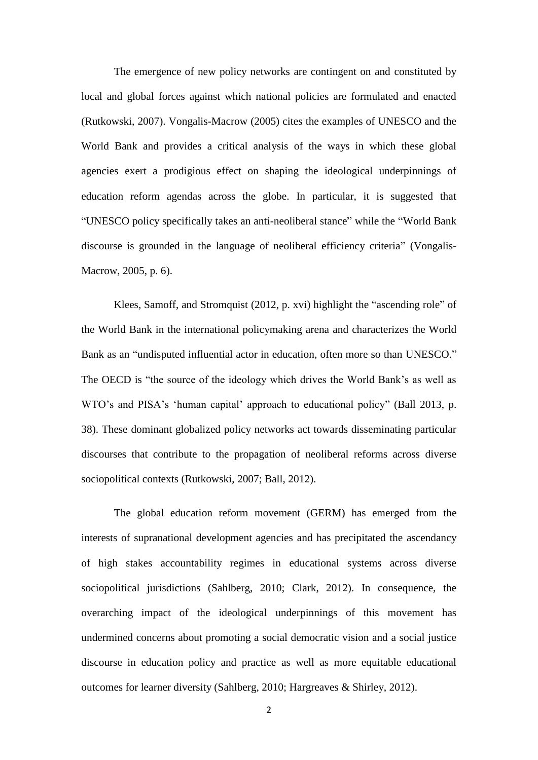The emergence of new policy networks are contingent on and constituted by local and global forces against which national policies are formulated and enacted (Rutkowski, 2007). Vongalis-Macrow (2005) cites the examples of UNESCO and the World Bank and provides a critical analysis of the ways in which these global agencies exert a prodigious effect on shaping the ideological underpinnings of education reform agendas across the globe. In particular, it is suggested that "UNESCO policy specifically takes an anti-neoliberal stance" while the "World Bank discourse is grounded in the language of neoliberal efficiency criteria" (Vongalis-Macrow, 2005, p. 6).

Klees, Samoff, and Stromquist (2012, p. xvi) highlight the "ascending role" of the World Bank in the international policymaking arena and characterizes the World Bank as an "undisputed influential actor in education, often more so than UNESCO." The OECD is "the source of the ideology which drives the World Bank's as well as WTO's and PISA's 'human capital' approach to educational policy" (Ball 2013, p. 38). These dominant globalized policy networks act towards disseminating particular discourses that contribute to the propagation of neoliberal reforms across diverse sociopolitical contexts (Rutkowski, 2007; Ball, 2012).

The global education reform movement (GERM) has emerged from the interests of supranational development agencies and has precipitated the ascendancy of high stakes accountability regimes in educational systems across diverse sociopolitical jurisdictions (Sahlberg, 2010; Clark, 2012). In consequence, the overarching impact of the ideological underpinnings of this movement has undermined concerns about promoting a social democratic vision and a social justice discourse in education policy and practice as well as more equitable educational outcomes for learner diversity (Sahlberg, 2010; Hargreaves & Shirley, 2012).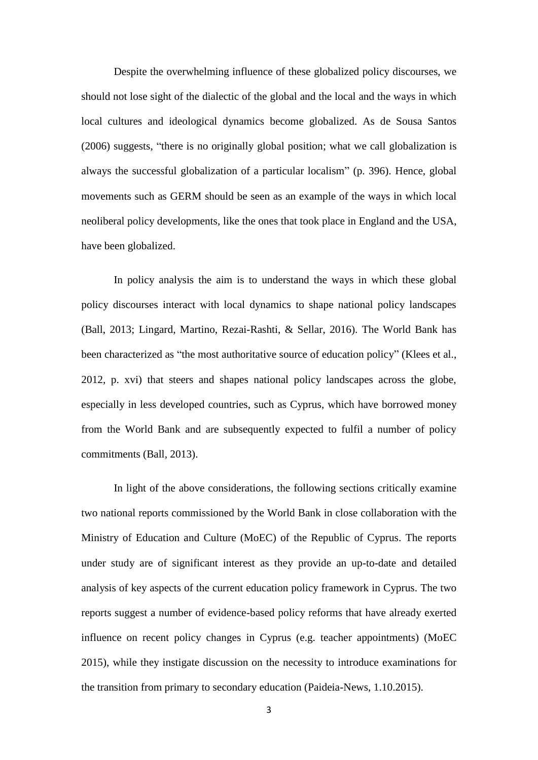Despite the overwhelming influence of these globalized policy discourses, we should not lose sight of the dialectic of the global and the local and the ways in which local cultures and ideological dynamics become globalized. As de Sousa Santos (2006) suggests, "there is no originally global position; what we call globalization is always the successful globalization of a particular localism" (p. 396). Hence, global movements such as GERM should be seen as an example of the ways in which local neoliberal policy developments, like the ones that took place in England and the USA, have been globalized.

In policy analysis the aim is to understand the ways in which these global policy discourses interact with local dynamics to shape national policy landscapes (Ball, 2013; Lingard, Martino, Rezai-Rashti, & Sellar, 2016). The World Bank has been characterized as "the most authoritative source of education policy" (Klees et al., 2012, p. xvi) that steers and shapes national policy landscapes across the globe, especially in less developed countries, such as Cyprus, which have borrowed money from the World Bank and are subsequently expected to fulfil a number of policy commitments (Ball, 2013).

In light of the above considerations, the following sections critically examine two national reports commissioned by the World Bank in close collaboration with the Ministry of Education and Culture (MoEC) of the Republic of Cyprus. The reports under study are of significant interest as they provide an up-to-date and detailed analysis of key aspects of the current education policy framework in Cyprus. The two reports suggest a number of evidence-based policy reforms that have already exerted influence on recent policy changes in Cyprus (e.g. teacher appointments) (MoEC 2015), while they instigate discussion on the necessity to introduce examinations for the transition from primary to secondary education (Paideia-News, 1.10.2015).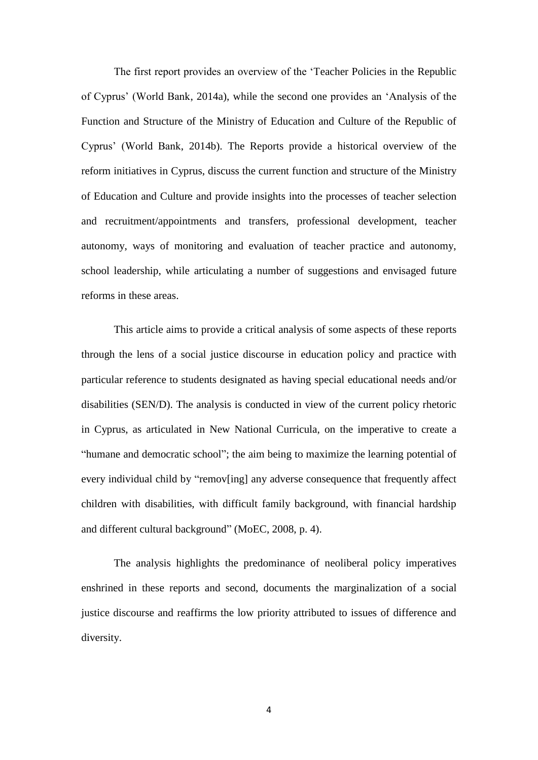The first report provides an overview of the 'Teacher Policies in the Republic of Cyprus' (World Bank, 2014a), while the second one provides an 'Analysis of the Function and Structure of the Ministry of Education and Culture of the Republic of Cyprus' (World Bank, 2014b). The Reports provide a historical overview of the reform initiatives in Cyprus, discuss the current function and structure of the Ministry of Education and Culture and provide insights into the processes of teacher selection and recruitment/appointments and transfers, professional development, teacher autonomy, ways of monitoring and evaluation of teacher practice and autonomy, school leadership, while articulating a number of suggestions and envisaged future reforms in these areas.

This article aims to provide a critical analysis of some aspects of these reports through the lens of a social justice discourse in education policy and practice with particular reference to students designated as having special educational needs and/or disabilities (SEN/D). The analysis is conducted in view of the current policy rhetoric in Cyprus, as articulated in New National Curricula, on the imperative to create a "humane and democratic school"; the aim being to maximize the learning potential of every individual child by "remov[ing] any adverse consequence that frequently affect children with disabilities, with difficult family background, with financial hardship and different cultural background" (MoEC, 2008, p. 4).

The analysis highlights the predominance of neoliberal policy imperatives enshrined in these reports and second, documents the marginalization of a social justice discourse and reaffirms the low priority attributed to issues of difference and diversity.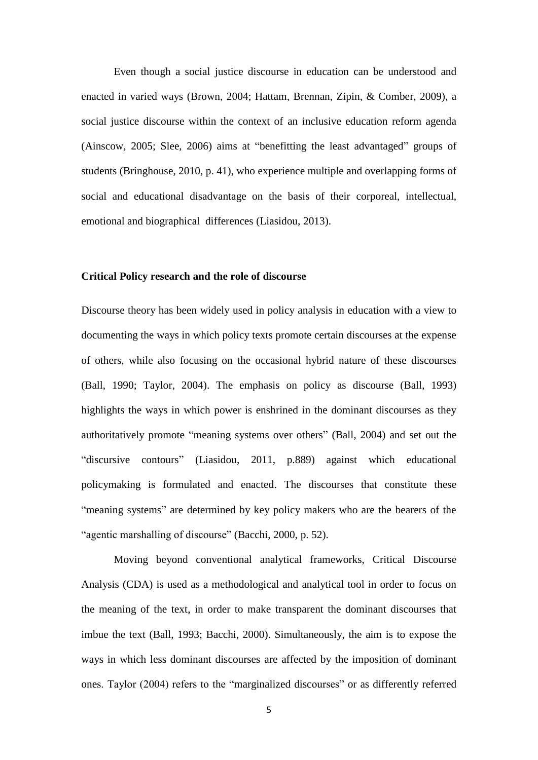Even though a social justice discourse in education can be understood and enacted in varied ways (Brown, 2004; Hattam, Brennan, Zipin, & Comber, 2009), a social justice discourse within the context of an inclusive education reform agenda (Ainscow, 2005; Slee, 2006) aims at "benefitting the least advantaged" groups of students (Bringhouse, 2010, p. 41), who experience multiple and overlapping forms of social and educational disadvantage on the basis of their corporeal, intellectual, emotional and biographical differences (Liasidou, 2013).

### **Critical Policy research and the role of discourse**

Discourse theory has been widely used in policy analysis in education with a view to documenting the ways in which policy texts promote certain discourses at the expense of others, while also focusing on the occasional hybrid nature of these discourses (Ball, 1990; Taylor, 2004). The emphasis on policy as discourse (Ball, 1993) highlights the ways in which power is enshrined in the dominant discourses as they authoritatively promote "meaning systems over others" (Ball, 2004) and set out the "discursive contours" (Liasidou, 2011, p.889) against which educational policymaking is formulated and enacted. The discourses that constitute these "meaning systems" are determined by key policy makers who are the bearers of the "agentic marshalling of discourse" (Bacchi, 2000, p. 52).

Moving beyond conventional analytical frameworks, Critical Discourse Analysis (CDA) is used as a methodological and analytical tool in order to focus on the meaning of the text, in order to make transparent the dominant discourses that imbue the text (Ball, 1993; Bacchi, 2000). Simultaneously, the aim is to expose the ways in which less dominant discourses are affected by the imposition of dominant ones. Taylor (2004) refers to the "marginalized discourses" or as differently referred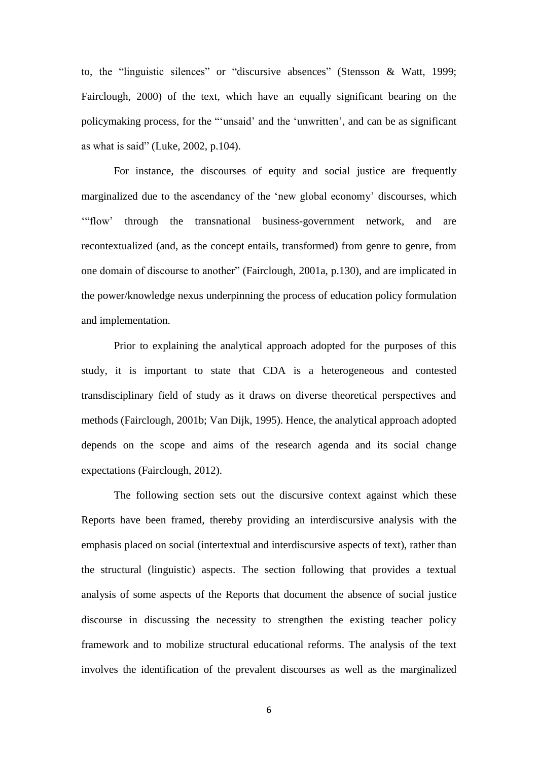to, the "linguistic silences" or "discursive absences" (Stensson & Watt, 1999; Fairclough, 2000) of the text, which have an equally significant bearing on the policymaking process, for the "'unsaid' and the 'unwritten', and can be as significant as what is said" (Luke, 2002, p.104).

For instance, the discourses of equity and social justice are frequently marginalized due to the ascendancy of the 'new global economy' discourses, which '"flow' through the transnational business-government network, and are recontextualized (and, as the concept entails, transformed) from genre to genre, from one domain of discourse to another" (Fairclough, 2001a, p.130), and are implicated in the power/knowledge nexus underpinning the process of education policy formulation and implementation.

Prior to explaining the analytical approach adopted for the purposes of this study, it is important to state that CDA is a heterogeneous and contested transdisciplinary field of study as it draws on diverse theoretical perspectives and methods (Fairclough, 2001b; Van Dijk, 1995). Hence, the analytical approach adopted depends on the scope and aims of the research agenda and its social change expectations (Fairclough, 2012).

The following section sets out the discursive context against which these Reports have been framed, thereby providing an interdiscursive analysis with the emphasis placed on social (intertextual and interdiscursive aspects of text), rather than the structural (linguistic) aspects. The section following that provides a textual analysis of some aspects of the Reports that document the absence of social justice discourse in discussing the necessity to strengthen the existing teacher policy framework and to mobilize structural educational reforms. The analysis of the text involves the identification of the prevalent discourses as well as the marginalized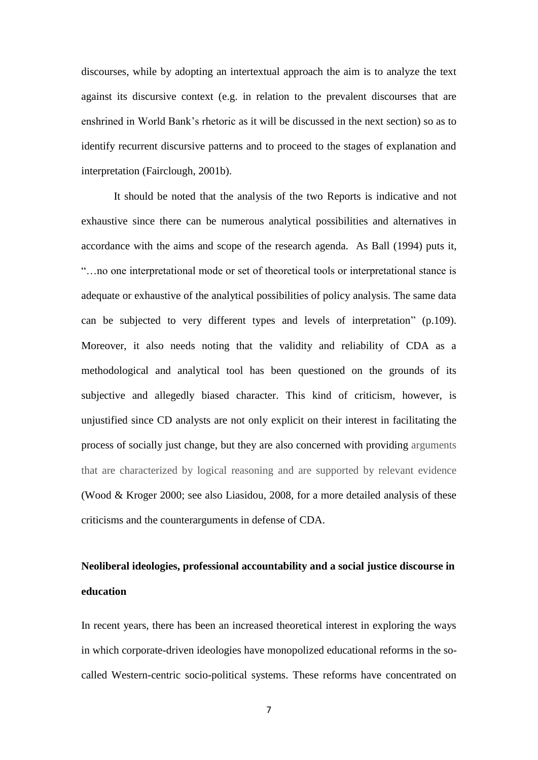discourses, while by adopting an intertextual approach the aim is to analyze the text against its discursive context (e.g. in relation to the prevalent discourses that are enshrined in World Bank's rhetoric as it will be discussed in the next section) so as to identify recurrent discursive patterns and to proceed to the stages of explanation and interpretation (Fairclough, 2001b).

It should be noted that the analysis of the two Reports is indicative and not exhaustive since there can be numerous analytical possibilities and alternatives in accordance with the aims and scope of the research agenda. As Ball (1994) puts it, "…no one interpretational mode or set of theoretical tools or interpretational stance is adequate or exhaustive of the analytical possibilities of policy analysis. The same data can be subjected to very different types and levels of interpretation" (p.109). Moreover, it also needs noting that the validity and reliability of CDA as a methodological and analytical tool has been questioned on the grounds of its subjective and allegedly biased character. This kind of criticism, however, is unjustified since CD analysts are not only explicit on their interest in facilitating the process of socially just change, but they are also concerned with providing arguments that are characterized by logical reasoning and are supported by relevant evidence (Wood & Kroger 2000; see also Liasidou, 2008, for a more detailed analysis of these criticisms and the counterarguments in defense of CDA.

# **Neoliberal ideologies, professional accountability and a social justice discourse in education**

In recent years, there has been an increased theoretical interest in exploring the ways in which corporate-driven ideologies have monopolized educational reforms in the socalled Western-centric socio-political systems. These reforms have concentrated on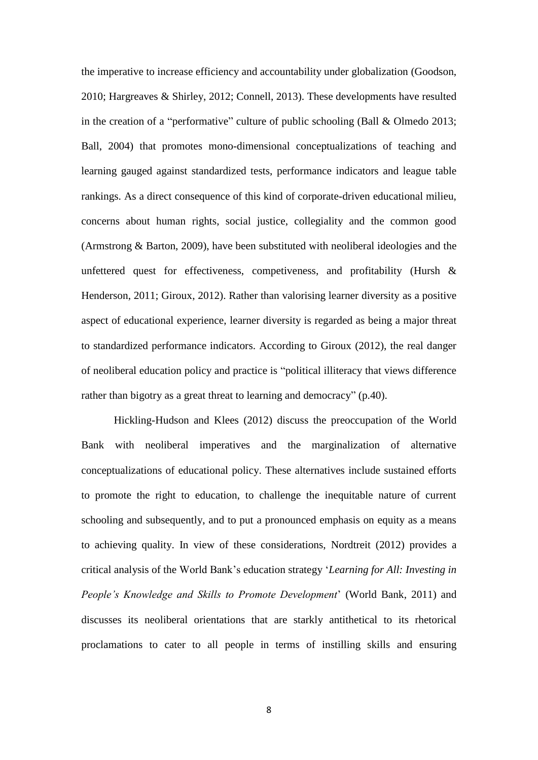the imperative to increase efficiency and accountability under globalization (Goodson, 2010; Hargreaves & Shirley, 2012; Connell, 2013). These developments have resulted in the creation of a "performative" culture of public schooling (Ball & Olmedo 2013; Ball, 2004) that promotes mono-dimensional conceptualizations of teaching and learning gauged against standardized tests, performance indicators and league table rankings. As a direct consequence of this kind of corporate-driven educational milieu, concerns about human rights, social justice, collegiality and the common good (Armstrong & Barton, 2009), have been substituted with neoliberal ideologies and the unfettered quest for effectiveness, competiveness, and profitability (Hursh & Henderson, 2011; Giroux, 2012). Rather than valorising learner diversity as a positive aspect of educational experience, learner diversity is regarded as being a major threat to standardized performance indicators. According to Giroux (2012), the real danger of neoliberal education policy and practice is "political illiteracy that views difference rather than bigotry as a great threat to learning and democracy" (p.40).

Hickling-Hudson and Klees (2012) discuss the preoccupation of the World Bank with neoliberal imperatives and the marginalization of alternative conceptualizations of educational policy. These alternatives include sustained efforts to promote the right to education, to challenge the inequitable nature of current schooling and subsequently, and to put a pronounced emphasis on equity as a means to achieving quality. In view of these considerations, Nordtreit (2012) provides a critical analysis of the World Bank's education strategy '*Learning for All: Investing in People's Knowledge and Skills to Promote Development*' (World Bank, 2011) and discusses its neoliberal orientations that are starkly antithetical to its rhetorical proclamations to cater to all people in terms of instilling skills and ensuring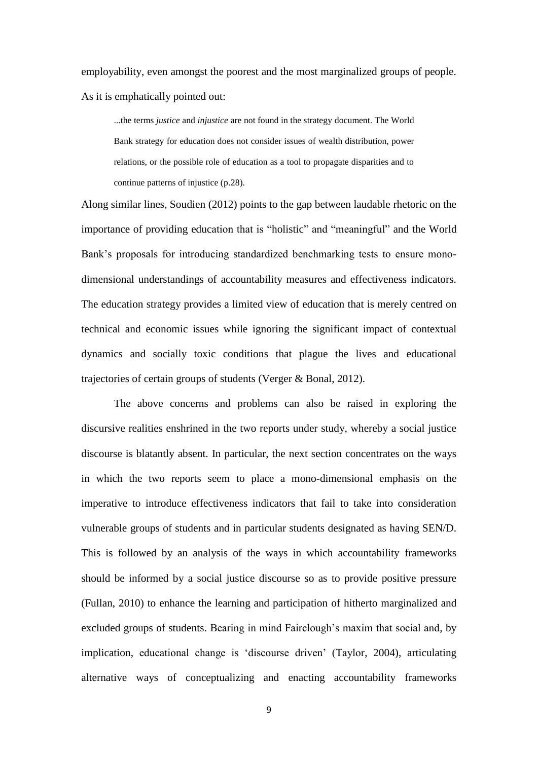employability, even amongst the poorest and the most marginalized groups of people. As it is emphatically pointed out:

...the terms *justice* and *injustice* are not found in the strategy document. The World Bank strategy for education does not consider issues of wealth distribution, power relations, or the possible role of education as a tool to propagate disparities and to continue patterns of injustice (p.28).

Along similar lines, Soudien (2012) points to the gap between laudable rhetoric on the importance of providing education that is "holistic" and "meaningful" and the World Bank's proposals for introducing standardized benchmarking tests to ensure monodimensional understandings of accountability measures and effectiveness indicators. The education strategy provides a limited view of education that is merely centred on technical and economic issues while ignoring the significant impact of contextual dynamics and socially toxic conditions that plague the lives and educational trajectories of certain groups of students (Verger & Bonal, 2012).

The above concerns and problems can also be raised in exploring the discursive realities enshrined in the two reports under study, whereby a social justice discourse is blatantly absent. In particular, the next section concentrates on the ways in which the two reports seem to place a mono-dimensional emphasis on the imperative to introduce effectiveness indicators that fail to take into consideration vulnerable groups of students and in particular students designated as having SEN/D. This is followed by an analysis of the ways in which accountability frameworks should be informed by a social justice discourse so as to provide positive pressure (Fullan, 2010) to enhance the learning and participation of hitherto marginalized and excluded groups of students. Bearing in mind Fairclough's maxim that social and, by implication, educational change is 'discourse driven' (Taylor, 2004), articulating alternative ways of conceptualizing and enacting accountability frameworks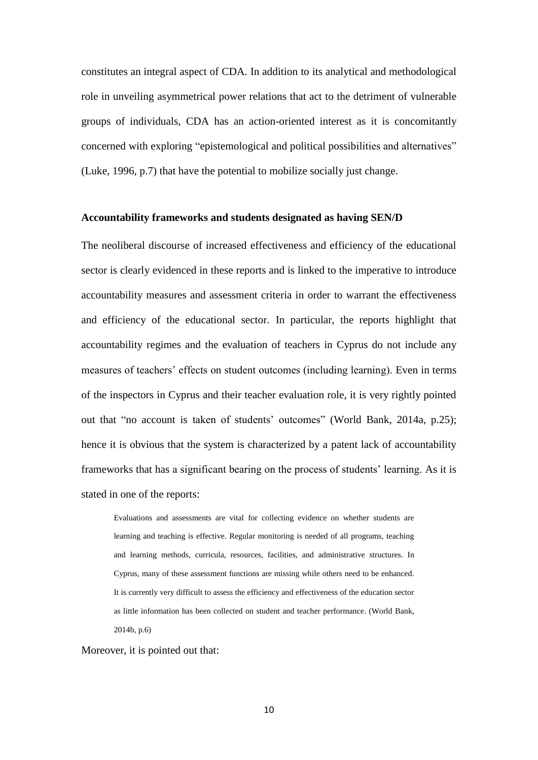constitutes an integral aspect of CDA. In addition to its analytical and methodological role in unveiling asymmetrical power relations that act to the detriment of vulnerable groups of individuals, CDA has an action-oriented interest as it is concomitantly concerned with exploring "epistemological and political possibilities and alternatives" (Luke, 1996, p.7) that have the potential to mobilize socially just change.

## **Accountability frameworks and students designated as having SEN/D**

The neoliberal discourse of increased effectiveness and efficiency of the educational sector is clearly evidenced in these reports and is linked to the imperative to introduce accountability measures and assessment criteria in order to warrant the effectiveness and efficiency of the educational sector. In particular, the reports highlight that accountability regimes and the evaluation of teachers in Cyprus do not include any measures of teachers' effects on student outcomes (including learning). Even in terms of the inspectors in Cyprus and their teacher evaluation role, it is very rightly pointed out that "no account is taken of students' outcomes" (World Bank, 2014a, p.25); hence it is obvious that the system is characterized by a patent lack of accountability frameworks that has a significant bearing on the process of students' learning. As it is stated in one of the reports:

Evaluations and assessments are vital for collecting evidence on whether students are learning and teaching is effective. Regular monitoring is needed of all programs, teaching and learning methods, curricula, resources, facilities, and administrative structures. In Cyprus, many of these assessment functions are missing while others need to be enhanced. It is currently very difficult to assess the efficiency and effectiveness of the education sector as little information has been collected on student and teacher performance. (World Bank, 2014b, p.6)

#### Moreover, it is pointed out that:

10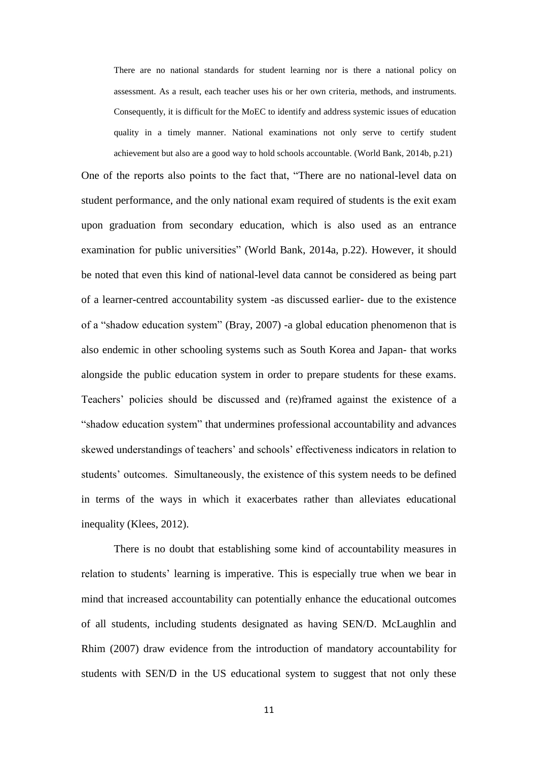There are no national standards for student learning nor is there a national policy on assessment. As a result, each teacher uses his or her own criteria, methods, and instruments. Consequently, it is difficult for the MoEC to identify and address systemic issues of education quality in a timely manner. National examinations not only serve to certify student achievement but also are a good way to hold schools accountable. (World Bank, 2014b, p.21)

One of the reports also points to the fact that, "There are no national-level data on student performance, and the only national exam required of students is the exit exam upon graduation from secondary education, which is also used as an entrance examination for public universities" (World Bank, 2014a, p.22). However, it should be noted that even this kind of national-level data cannot be considered as being part of a learner-centred accountability system -as discussed earlier- due to the existence of a "shadow education system" (Bray, 2007) -a global education phenomenon that is also endemic in other schooling systems such as South Korea and Japan- that works alongside the public education system in order to prepare students for these exams. Teachers' policies should be discussed and (re)framed against the existence of a "shadow education system" that undermines professional accountability and advances skewed understandings of teachers' and schools' effectiveness indicators in relation to students' outcomes. Simultaneously, the existence of this system needs to be defined in terms of the ways in which it exacerbates rather than alleviates educational inequality (Klees, 2012).

There is no doubt that establishing some kind of accountability measures in relation to students' learning is imperative. This is especially true when we bear in mind that increased accountability can potentially enhance the educational outcomes of all students, including students designated as having SEN/D. McLaughlin and Rhim (2007) draw evidence from the introduction of mandatory accountability for students with SEN/D in the US educational system to suggest that not only these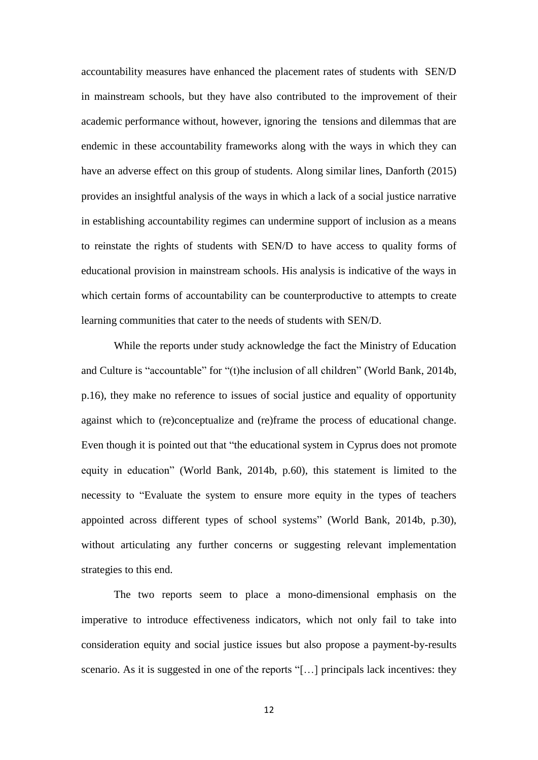accountability measures have enhanced the placement rates of students with SEN/D in mainstream schools, but they have also contributed to the improvement of their academic performance without, however, ignoring the tensions and dilemmas that are endemic in these accountability frameworks along with the ways in which they can have an adverse effect on this group of students. Along similar lines, Danforth (2015) provides an insightful analysis of the ways in which a lack of a social justice narrative in establishing accountability regimes can undermine support of inclusion as a means to reinstate the rights of students with SEN/D to have access to quality forms of educational provision in mainstream schools. His analysis is indicative of the ways in which certain forms of accountability can be counterproductive to attempts to create learning communities that cater to the needs of students with SEN/D.

While the reports under study acknowledge the fact the Ministry of Education and Culture is "accountable" for "(t)he inclusion of all children" (World Bank, 2014b, p.16), they make no reference to issues of social justice and equality of opportunity against which to (re)conceptualize and (re)frame the process of educational change. Even though it is pointed out that "the educational system in Cyprus does not promote equity in education" (World Bank, 2014b, p.60), this statement is limited to the necessity to "Evaluate the system to ensure more equity in the types of teachers appointed across different types of school systems" (World Bank, 2014b, p.30), without articulating any further concerns or suggesting relevant implementation strategies to this end.

The two reports seem to place a mono-dimensional emphasis on the imperative to introduce effectiveness indicators, which not only fail to take into consideration equity and social justice issues but also propose a payment-by-results scenario. As it is suggested in one of the reports "[…] principals lack incentives: they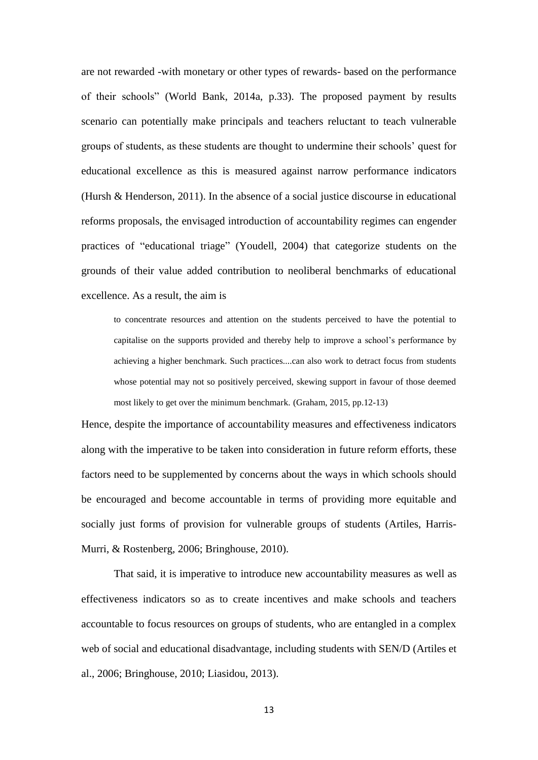are not rewarded -with monetary or other types of rewards- based on the performance of their schools" (World Bank, 2014a, p.33). The proposed payment by results scenario can potentially make principals and teachers reluctant to teach vulnerable groups of students, as these students are thought to undermine their schools' quest for educational excellence as this is measured against narrow performance indicators (Hursh & Henderson, 2011). In the absence of a social justice discourse in educational reforms proposals, the envisaged introduction of accountability regimes can engender practices of "educational triage" (Youdell, 2004) that categorize students on the grounds of their value added contribution to neoliberal benchmarks of educational excellence. As a result, the aim is

to concentrate resources and attention on the students perceived to have the potential to capitalise on the supports provided and thereby help to improve a school's performance by achieving a higher benchmark. Such practices....can also work to detract focus from students whose potential may not so positively perceived, skewing support in favour of those deemed most likely to get over the minimum benchmark. (Graham, 2015, pp.12-13)

Hence, despite the importance of accountability measures and effectiveness indicators along with the imperative to be taken into consideration in future reform efforts, these factors need to be supplemented by concerns about the ways in which schools should be encouraged and become accountable in terms of providing more equitable and socially just forms of provision for vulnerable groups of students (Artiles, Harris-Murri, & Rostenberg, 2006; Bringhouse, 2010).

That said, it is imperative to introduce new accountability measures as well as effectiveness indicators so as to create incentives and make schools and teachers accountable to focus resources on groups of students, who are entangled in a complex web of social and educational disadvantage, including students with SEN/D (Artiles et al., 2006; Bringhouse, 2010; Liasidou, 2013).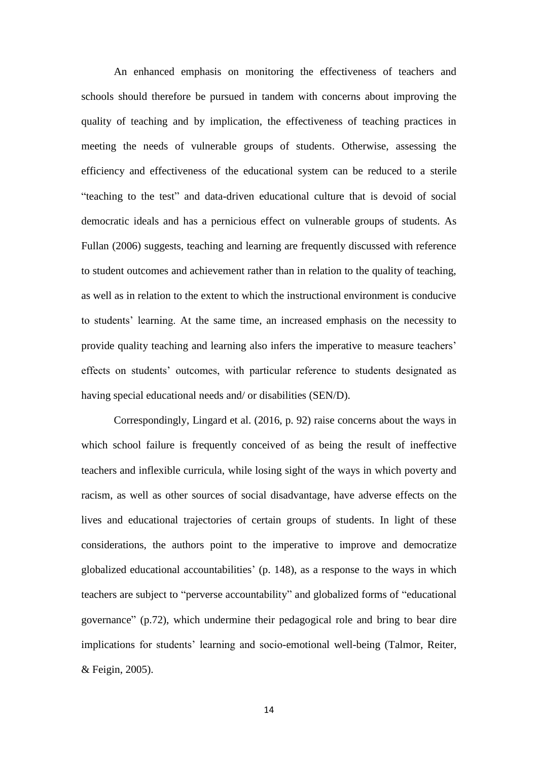An enhanced emphasis on monitoring the effectiveness of teachers and schools should therefore be pursued in tandem with concerns about improving the quality of teaching and by implication, the effectiveness of teaching practices in meeting the needs of vulnerable groups of students. Otherwise, assessing the efficiency and effectiveness of the educational system can be reduced to a sterile "teaching to the test" and data-driven educational culture that is devoid of social democratic ideals and has a pernicious effect on vulnerable groups of students. As Fullan (2006) suggests, teaching and learning are frequently discussed with reference to student outcomes and achievement rather than in relation to the quality of teaching, as well as in relation to the extent to which the instructional environment is conducive to students' learning. At the same time, an increased emphasis on the necessity to provide quality teaching and learning also infers the imperative to measure teachers' effects on students' outcomes, with particular reference to students designated as having special educational needs and/ or disabilities (SEN/D).

Correspondingly, Lingard et al. (2016, p. 92) raise concerns about the ways in which school failure is frequently conceived of as being the result of ineffective teachers and inflexible curricula, while losing sight of the ways in which poverty and racism, as well as other sources of social disadvantage, have adverse effects on the lives and educational trajectories of certain groups of students. In light of these considerations, the authors point to the imperative to improve and democratize globalized educational accountabilities' (p. 148), as a response to the ways in which teachers are subject to "perverse accountability" and globalized forms of "educational governance" (p.72), which undermine their pedagogical role and bring to bear dire implications for students' learning and socio-emotional well-being (Talmor, [Reiter,](http://www.tandfonline.com/author/Reiter%2C+Shunit) & [Feigin,](http://www.tandfonline.com/author/Feigin%2C+Neomi) 2005).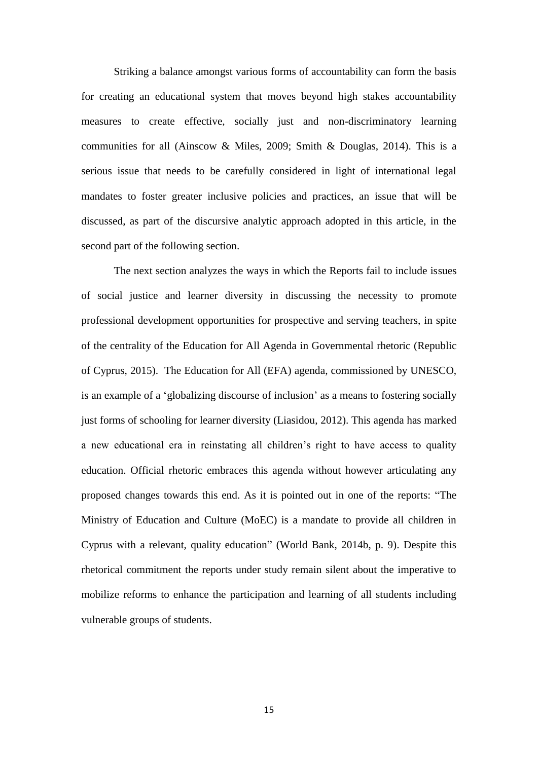Striking a balance amongst various forms of accountability can form the basis for creating an educational system that moves beyond high stakes accountability measures to create effective, socially just and non-discriminatory learning communities for all (Ainscow & Miles, 2009; Smith & Douglas, 2014). This is a serious issue that needs to be carefully considered in light of international legal mandates to foster greater inclusive policies and practices, an issue that will be discussed, as part of the discursive analytic approach adopted in this article, in the second part of the following section.

The next section analyzes the ways in which the Reports fail to include issues of social justice and learner diversity in discussing the necessity to promote professional development opportunities for prospective and serving teachers, in spite of the centrality of the Education for All Agenda in Governmental rhetoric (Republic of Cyprus, 2015). The Education for All (EFA) agenda, commissioned by UNESCO, is an example of a 'globalizing discourse of inclusion' as a means to fostering socially just forms of schooling for learner diversity (Liasidou, 2012). This agenda has marked a new educational era in reinstating all children's right to have access to quality education. Official rhetoric embraces this agenda without however articulating any proposed changes towards this end. As it is pointed out in one of the reports: "The Ministry of Education and Culture (MoEC) is a mandate to provide all children in Cyprus with a relevant, quality education" (World Bank, 2014b, p. 9). Despite this rhetorical commitment the reports under study remain silent about the imperative to mobilize reforms to enhance the participation and learning of all students including vulnerable groups of students.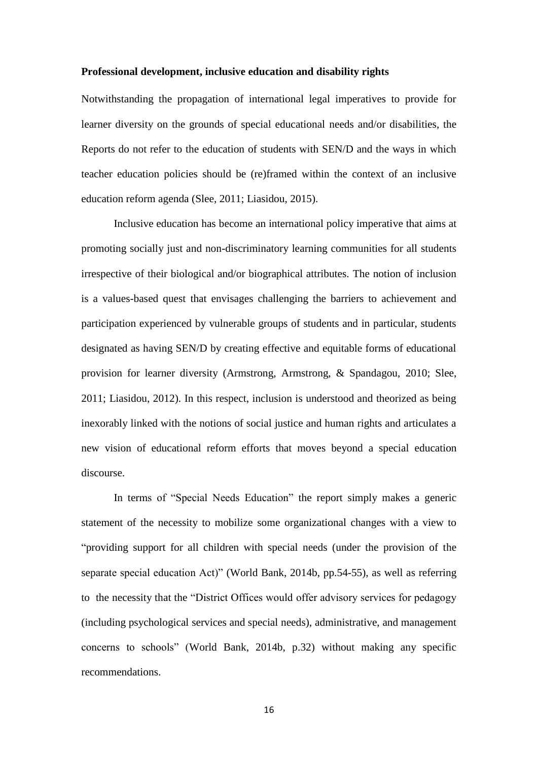### **Professional development, inclusive education and disability rights**

Notwithstanding the propagation of international legal imperatives to provide for learner diversity on the grounds of special educational needs and/or disabilities, the Reports do not refer to the education of students with SEN/D and the ways in which teacher education policies should be (re)framed within the context of an inclusive education reform agenda (Slee, 2011; Liasidou, 2015).

Inclusive education has become an international policy imperative that aims at promoting socially just and non-discriminatory learning communities for all students irrespective of their biological and/or biographical attributes. The notion of inclusion is a values-based quest that envisages challenging the barriers to achievement and participation experienced by vulnerable groups of students and in particular, students designated as having SEN/D by creating effective and equitable forms of educational provision for learner diversity (Armstrong, Armstrong, & Spandagou, 2010; Slee, 2011; Liasidou, 2012). In this respect, inclusion is understood and theorized as being inexorably linked with the notions of social justice and human rights and articulates a new vision of educational reform efforts that moves beyond a special education discourse.

In terms of "Special Needs Education" the report simply makes a generic statement of the necessity to mobilize some organizational changes with a view to "providing support for all children with special needs (under the provision of the separate special education Act)" (World Bank, 2014b, pp.54-55), as well as referring to the necessity that the "District Offices would offer advisory services for pedagogy (including psychological services and special needs), administrative, and management concerns to schools" (World Bank, 2014b, p.32) without making any specific recommendations.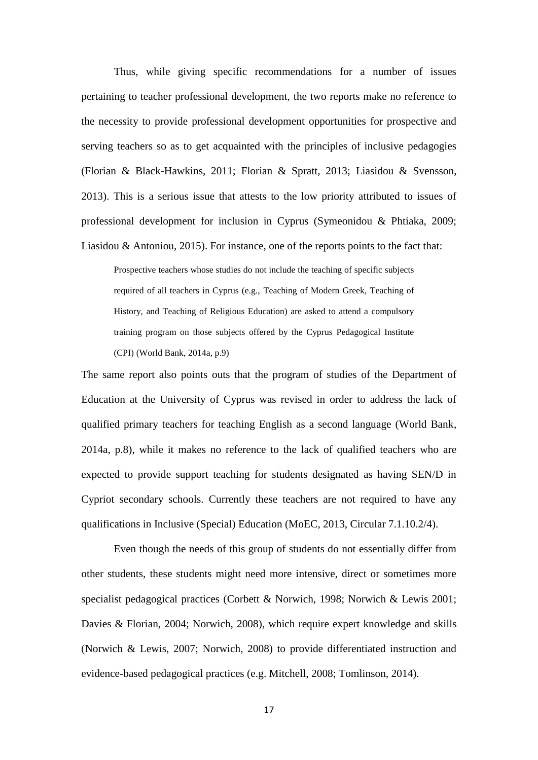Thus, while giving specific recommendations for a number of issues pertaining to teacher professional development, the two reports make no reference to the necessity to provide professional development opportunities for prospective and serving teachers so as to get acquainted with the principles of inclusive pedagogies (Florian & Black-Hawkins, 2011; Florian & Spratt, 2013; Liasidou & Svensson, 2013). This is a serious issue that attests to the low priority attributed to issues of professional development for inclusion in Cyprus (Symeonidou & Phtiaka, 2009; Liasidou & Antoniou, 2015). For instance, one of the reports points to the fact that:

Prospective teachers whose studies do not include the teaching of specific subjects required of all teachers in Cyprus (e.g., Teaching of Modern Greek, Teaching of History, and Teaching of Religious Education) are asked to attend a compulsory training program on those subjects offered by the Cyprus Pedagogical Institute (CPI) (World Bank, 2014a, p.9)

The same report also points outs that the program of studies of the Department of Education at the University of Cyprus was revised in order to address the lack of qualified primary teachers for teaching English as a second language (World Bank, 2014a, p.8), while it makes no reference to the lack of qualified teachers who are expected to provide support teaching for students designated as having SEN/D in Cypriot secondary schools. Currently these teachers are not required to have any qualifications in Inclusive (Special) Education (MoEC, 2013, Circular 7.1.10.2/4).

Even though the needs of this group of students do not essentially differ from other students, these students might need more intensive, direct or sometimes more specialist pedagogical practices (Corbett & Norwich, 1998; Norwich & Lewis 2001; Davies & Florian, 2004; Norwich, 2008), which require expert knowledge and skills (Norwich & Lewis, 2007; Norwich, 2008) to provide differentiated instruction and evidence-based pedagogical practices (e.g. Mitchell, 2008; Tomlinson, 2014).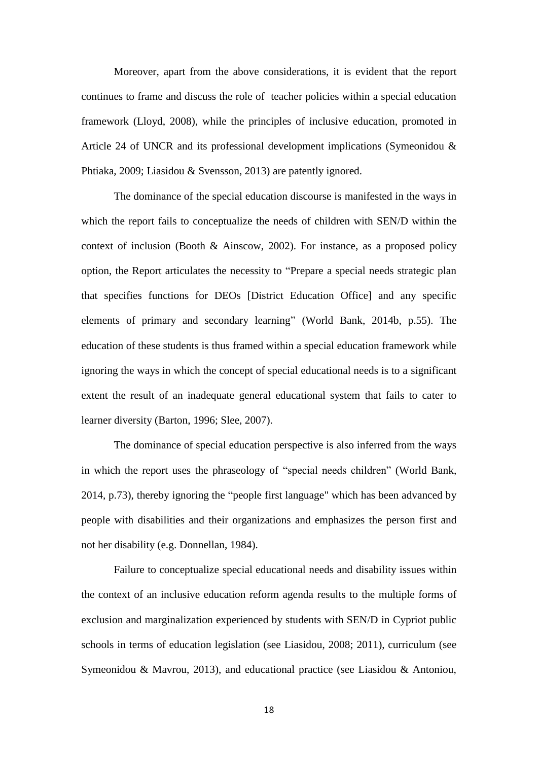Moreover, apart from the above considerations, it is evident that the report continues to frame and discuss the role of teacher policies within a special education framework (Lloyd, 2008), while the principles of inclusive education, promoted in Article 24 of UNCR and its professional development implications (Symeonidou & Phtiaka, 2009; Liasidou & Svensson, 2013) are patently ignored.

The dominance of the special education discourse is manifested in the ways in which the report fails to conceptualize the needs of children with SEN/D within the context of inclusion (Booth & Ainscow, 2002). For instance, as a proposed policy option, the Report articulates the necessity to "Prepare a special needs strategic plan that specifies functions for DEOs [District Education Office] and any specific elements of primary and secondary learning" (World Bank, 2014b, p.55). The education of these students is thus framed within a special education framework while ignoring the ways in which the concept of special educational needs is to a significant extent the result of an inadequate general educational system that fails to cater to learner diversity (Barton, 1996; Slee, 2007).

The dominance of special education perspective is also inferred from the ways in which the report uses the phraseology of "special needs children" (World Bank, 2014, p.73), thereby ignoring the "people first language" which has been advanced by people with disabilities and their organizations and emphasizes the person first and not her disability (e.g. Donnellan, 1984).

Failure to conceptualize special educational needs and disability issues within the context of an inclusive education reform agenda results to the multiple forms of exclusion and marginalization experienced by students with SEN/D in Cypriot public schools in terms of education legislation (see Liasidou, 2008; 2011), curriculum (see Symeonidou & Mavrou, 2013), and educational practice (see Liasidou & Antoniou,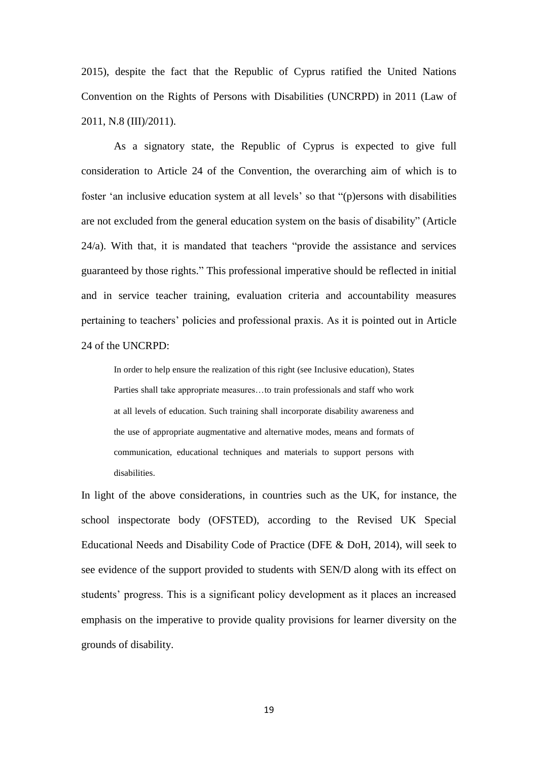2015), despite the fact that the Republic of Cyprus ratified the United Nations Convention on the Rights of Persons with Disabilities (UNCRPD) in 2011 (Law of 2011, N.8 (III)/2011).

As a signatory state, the Republic of Cyprus is expected to give full consideration to Article 24 of the Convention, the overarching aim of which is to foster 'an inclusive education system at all levels' so that "(p)ersons with disabilities are not excluded from the general education system on the basis of disability" (Article 24/a). With that, it is mandated that teachers "provide the assistance and services guaranteed by those rights." This professional imperative should be reflected in initial and in service teacher training, evaluation criteria and accountability measures pertaining to teachers' policies and professional praxis. As it is pointed out in Article 24 of the UNCRPD:

In order to help ensure the realization of this right (see Inclusive education), States Parties shall take appropriate measures…to train professionals and staff who work at all levels of education. Such training shall incorporate disability awareness and the use of appropriate augmentative and alternative modes, means and formats of communication, educational techniques and materials to support persons with disabilities.

In light of the above considerations, in countries such as the UK, for instance, the school inspectorate body (OFSTED), according to the Revised UK Special Educational Needs and Disability Code of Practice (DFE & DoH, 2014), will seek to see evidence of the support provided to students with SEN/D along with its effect on students' progress. This is a significant policy development as it places an increased emphasis on the imperative to provide quality provisions for learner diversity on the grounds of disability.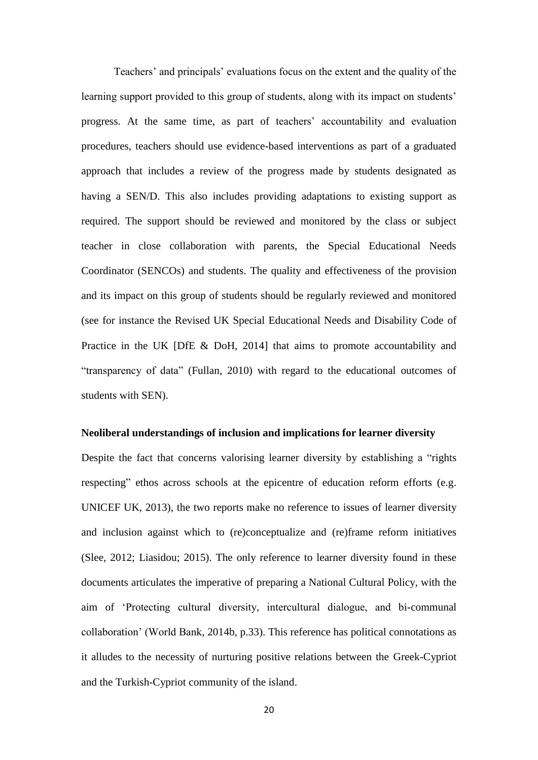Teachers' and principals' evaluations focus on the extent and the quality of the learning support provided to this group of students, along with its impact on students' progress. At the same time, as part of teachers' accountability and evaluation procedures, teachers should use evidence-based interventions as part of a graduated approach that includes a review of the progress made by students designated as having a SEN/D. This also includes providing adaptations to existing support as required. The support should be reviewed and monitored by the class or subject teacher in close collaboration with parents, the Special Educational Needs Coordinator (SENCOs) and students. The quality and effectiveness of the provision and its impact on this group of students should be regularly reviewed and monitored (see for instance the Revised UK Special Educational Needs and Disability Code of Practice in the UK [DfE & DoH, 2014] that aims to promote accountability and "transparency of data" (Fullan, 2010) with regard to the educational outcomes of students with SEN).

### **Neoliberal understandings of inclusion and implications for learner diversity**

Despite the fact that concerns valorising learner diversity by establishing a "rights respecting" ethos across schools at the epicentre of education reform efforts (e.g. UNICEF UK, 2013), the two reports make no reference to issues of learner diversity and inclusion against which to (re)conceptualize and (re)frame reform initiatives (Slee, 2012; Liasidou; 2015). The only reference to learner diversity found in these documents articulates the imperative of preparing a National Cultural Policy, with the aim of 'Protecting cultural diversity, intercultural dialogue, and bi-communal collaboration' (World Bank, 2014b, p.33). This reference has political connotations as it alludes to the necessity of nurturing positive relations between the Greek-Cypriot and the Turkish-Cypriot community of the island.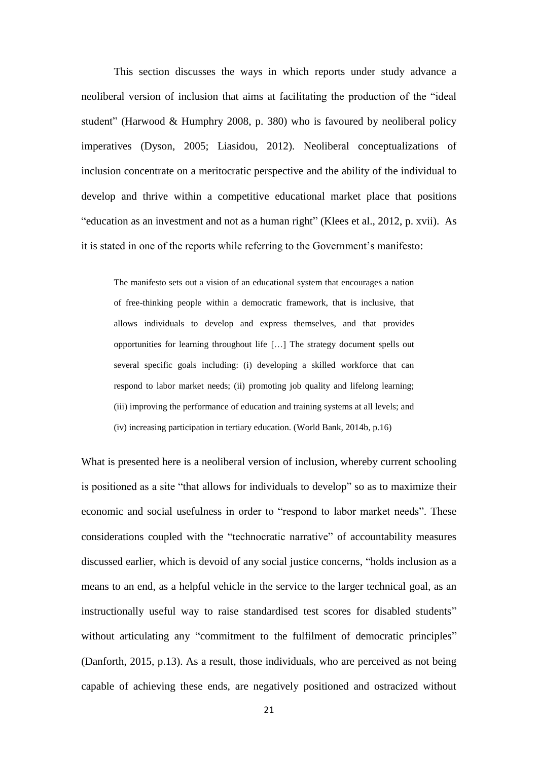This section discusses the ways in which reports under study advance a neoliberal version of inclusion that aims at facilitating the production of the "ideal student" (Harwood & Humphry 2008, p. 380) who is favoured by neoliberal policy imperatives (Dyson, 2005; Liasidou, 2012). Neoliberal conceptualizations of inclusion concentrate on a meritocratic perspective and the ability of the individual to develop and thrive within a competitive educational market place that positions "education as an investment and not as a human right" (Klees et al., 2012, p. xvii). As it is stated in one of the reports while referring to the Government's manifesto:

The manifesto sets out a vision of an educational system that encourages a nation of free-thinking people within a democratic framework, that is inclusive, that allows individuals to develop and express themselves, and that provides opportunities for learning throughout life […] The strategy document spells out several specific goals including: (i) developing a skilled workforce that can respond to labor market needs; (ii) promoting job quality and lifelong learning; (iii) improving the performance of education and training systems at all levels; and (iv) increasing participation in tertiary education. (World Bank, 2014b, p.16)

What is presented here is a neoliberal version of inclusion, whereby current schooling is positioned as a site "that allows for individuals to develop" so as to maximize their economic and social usefulness in order to "respond to labor market needs". These considerations coupled with the "technocratic narrative" of accountability measures discussed earlier, which is devoid of any social justice concerns, "holds inclusion as a means to an end, as a helpful vehicle in the service to the larger technical goal, as an instructionally useful way to raise standardised test scores for disabled students" without articulating any "commitment to the fulfilment of democratic principles" (Danforth, 2015, p.13). As a result, those individuals, who are perceived as not being capable of achieving these ends, are negatively positioned and ostracized without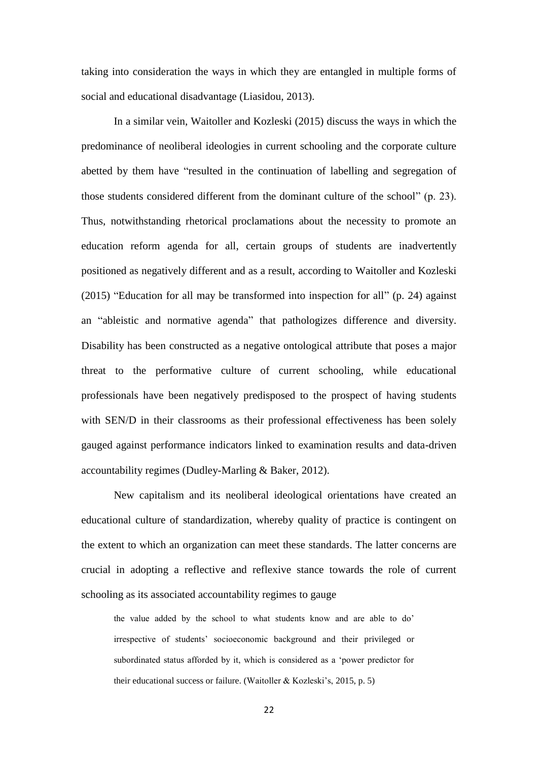taking into consideration the ways in which they are entangled in multiple forms of social and educational disadvantage (Liasidou, 2013).

In a similar vein, Waitoller and Kozleski (2015) discuss the ways in which the predominance of neoliberal ideologies in current schooling and the corporate culture abetted by them have "resulted in the continuation of labelling and segregation of those students considered different from the dominant culture of the school" (p. 23). Thus, notwithstanding rhetorical proclamations about the necessity to promote an education reform agenda for all, certain groups of students are inadvertently positioned as negatively different and as a result, according to Waitoller and Kozleski (2015) "Education for all may be transformed into inspection for all" (p. 24) against an "ableistic and normative agenda" that pathologizes difference and diversity. Disability has been constructed as a negative ontological attribute that poses a major threat to the performative culture of current schooling, while educational professionals have been negatively predisposed to the prospect of having students with SEN/D in their classrooms as their professional effectiveness has been solely gauged against performance indicators linked to examination results and data-driven accountability regimes (Dudley-Marling & Baker, 2012).

New capitalism and its neoliberal ideological orientations have created an educational culture of standardization, whereby quality of practice is contingent on the extent to which an organization can meet these standards. The latter concerns are crucial in adopting a reflective and reflexive stance towards the role of current schooling as its associated accountability regimes to gauge

the value added by the school to what students know and are able to do' irrespective of students' socioeconomic background and their privileged or subordinated status afforded by it, which is considered as a 'power predictor for their educational success or failure. (Waitoller & Kozleski's, 2015, p. 5)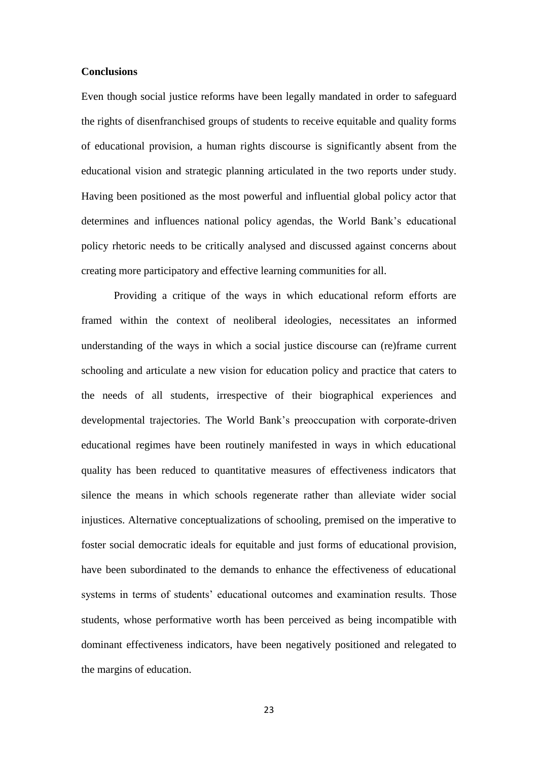### **Conclusions**

Even though social justice reforms have been legally mandated in order to safeguard the rights of disenfranchised groups of students to receive equitable and quality forms of educational provision, a human rights discourse is significantly absent from the educational vision and strategic planning articulated in the two reports under study. Having been positioned as the most powerful and influential global policy actor that determines and influences national policy agendas, the World Bank's educational policy rhetoric needs to be critically analysed and discussed against concerns about creating more participatory and effective learning communities for all.

Providing a critique of the ways in which educational reform efforts are framed within the context of neoliberal ideologies, necessitates an informed understanding of the ways in which a social justice discourse can (re)frame current schooling and articulate a new vision for education policy and practice that caters to the needs of all students, irrespective of their biographical experiences and developmental trajectories. The World Bank's preoccupation with corporate-driven educational regimes have been routinely manifested in ways in which educational quality has been reduced to quantitative measures of effectiveness indicators that silence the means in which schools regenerate rather than alleviate wider social injustices. Alternative conceptualizations of schooling, premised on the imperative to foster social democratic ideals for equitable and just forms of educational provision, have been subordinated to the demands to enhance the effectiveness of educational systems in terms of students' educational outcomes and examination results. Those students, whose performative worth has been perceived as being incompatible with dominant effectiveness indicators, have been negatively positioned and relegated to the margins of education.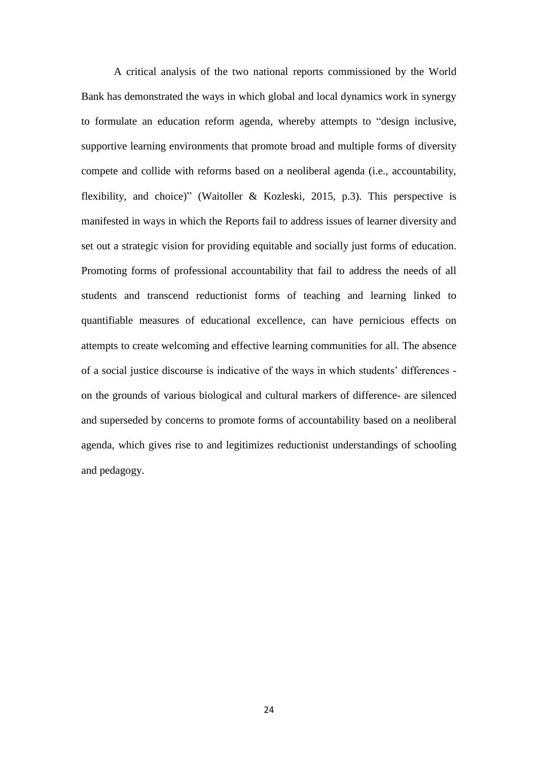A critical analysis of the two national reports commissioned by the World Bank has demonstrated the ways in which global and local dynamics work in synergy to formulate an education reform agenda, whereby attempts to "design inclusive, supportive learning environments that promote broad and multiple forms of diversity compete and collide with reforms based on a neoliberal agenda (i.e., accountability, flexibility, and choice)" (Waitoller & Kozleski, 2015, p.3). This perspective is manifested in ways in which the Reports fail to address issues of learner diversity and set out a strategic vision for providing equitable and socially just forms of education. Promoting forms of professional accountability that fail to address the needs of all students and transcend reductionist forms of teaching and learning linked to quantifiable measures of educational excellence, can have pernicious effects on attempts to create welcoming and effective learning communities for all. The absence of a social justice discourse is indicative of the ways in which students' differences on the grounds of various biological and cultural markers of difference- are silenced and superseded by concerns to promote forms of accountability based on a neoliberal agenda, which gives rise to and legitimizes reductionist understandings of schooling and pedagogy.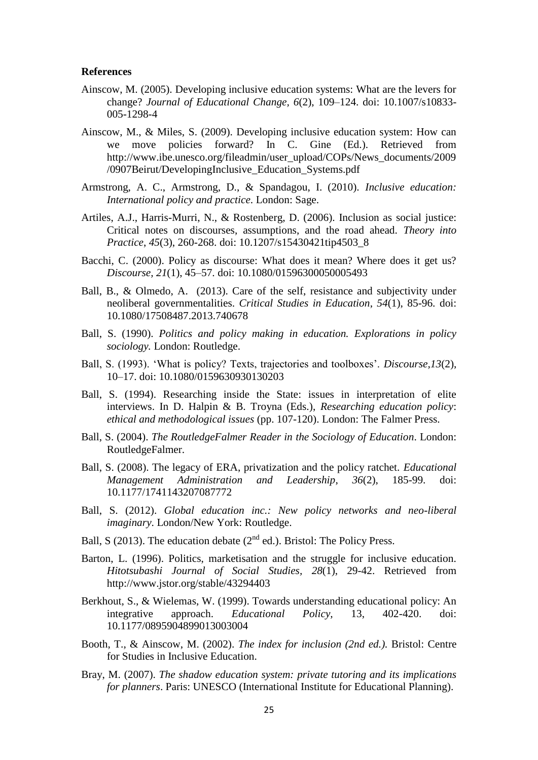### **References**

- Ainscow, M. (2005). Developing inclusive education systems: What are the levers for change? *Journal of Educational Change, 6*(2), 109–124. doi: 10.1007/s10833- 005-1298-4
- Ainscow, M., & Miles, S. (2009). Developing inclusive education system: How can we move policies forward? In C. Gine (Ed.). Retrieved from [http://www.ibe.unesco.org/fileadmin/user\\_upload/COPs/News\\_documents/2009](http://www.ibe.unesco.org/fileadmin/user_upload/COPs/News_documents/2009/0907Beirut/DevelopingInclusive_Education_Systems.pdf) [/0907Beirut/DevelopingInclusive\\_Education\\_Systems.pdf](http://www.ibe.unesco.org/fileadmin/user_upload/COPs/News_documents/2009/0907Beirut/DevelopingInclusive_Education_Systems.pdf)
- Armstrong, A. C., Armstrong, D., & Spandagou, I. (2010). *Inclusive education: International policy and practice*. London: Sage.
- Artiles, A.J., Harris-Murri, N., & Rostenberg, D. (2006). Inclusion as social justice: Critical notes on discourses, assumptions, and the road ahead. *Theory into Practice*, *45*(3), 260-268. doi: 10.1207/s15430421tip4503\_8
- Bacchi, C. (2000). Policy as discourse: What does it mean? Where does it get us? *Discourse, 21*(1), 45–57. doi: 10.1080/01596300050005493
- Ball, B., & Olmedo, A. (2013). Care of the self, resistance and subjectivity under neoliberal governmentalities. *Critical Studies in Education*, *54*(1), 85-96. doi: 10.1080/17508487.2013.740678
- Ball, S. (1990). *Politics and policy making in education. Explorations in policy sociology.* London: Routledge.
- Ball, S. (1993). 'What is policy? Texts, trajectories and toolboxes'. *Discourse,13*(2), 10–17. doi: 10.1080/0159630930130203
- Ball, S. (1994). Researching inside the State: issues in interpretation of elite interviews. In D. Halpin & B. Troyna (Eds.), *Researching education policy*: *ethical and methodological issues* (pp. 107-120). London: The Falmer Press.
- Ball, S. (2004). *The RoutledgeFalmer Reader in the Sociology of Education*. London: RoutledgeFalmer.
- Ball, S. (2008). The legacy of ERA, privatization and the policy ratchet*. Educational Management Administration and Leadership*, *36*(2), 185-99. doi: 10.1177/1741143207087772
- Ball, S. (2012). *Global education inc.: New policy networks and neo-liberal imaginary*. London/New York: Routledge.
- Ball, S (2013). The education debate ( $2<sup>nd</sup>$  ed.). Bristol: The Policy Press.
- Barton, L. (1996). Politics, marketisation and the struggle for inclusive education. *Hitotsubashi Journal of Social Studies, 28*(1), 29-42. Retrieved from http://www.jstor.org/stable/43294403
- Berkhout, S., & Wielemas, W. (1999). Towards understanding educational policy: An integrative approach. *Educational Policy,* 13, 402-420. doi: 10.1177/0895904899013003004
- Booth, T., & Ainscow, M. (2002). *The index for inclusion (2nd ed.).* Bristol: Centre for Studies in Inclusive Education.
- Bray, M. (2007). *The shadow education system: private tutoring and its implications for planners*. Paris: UNESCO (International Institute for Educational Planning).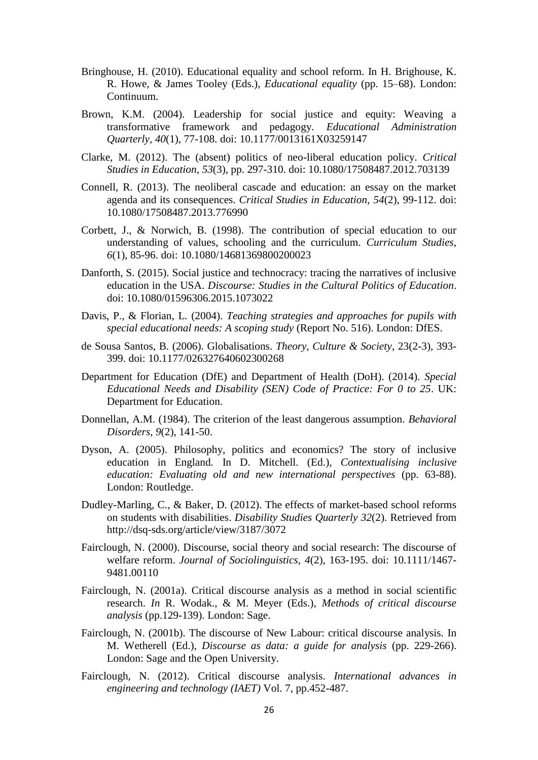- Bringhouse, H. (2010). Educational equality and school reform. In H. Brighouse, K. R. Howe, & James Tooley (Eds.), *Educational equality* (pp. 15–68). London: Continuum.
- Brown, K.M. (2004). Leadership for social justice and equity: Weaving a transformative framework and pedagogy. *Educational Administration Quarterly, 40*(1), 77-108. doi: 10.1177/0013161X03259147
- Clarke, M. (2012). The (absent) politics of neo-liberal education policy. *Critical Studies in Education*, *53*(3), pp. 297-310. doi: 10.1080/17508487.2012.703139
- Connell, R. (2013). The neoliberal cascade and education: an essay on the market agenda and its consequences. *Critical Studies in Education*, *54*(2), 99-112. doi: 10.1080/17508487.2013.776990
- Corbett, J., & Norwich, B. (1998). The contribution of special education to our understanding of values, schooling and the curriculum. *Curriculum Studies*, *6*(1), 85-96. doi: 10.1080/14681369800200023
- Danforth, S. (2015). Social justice and technocracy: tracing the narratives of inclusive education in the USA. *Discourse: Studies in the Cultural Politics of Education*. doi: 10.1080/01596306.2015.1073022
- Davis, P., & Florian, L. (2004). *Teaching strategies and approaches for pupils with special educational needs: A scoping study* (Report No. 516). London: DfES.
- de Sousa Santos, B. (2006). Globalisations. *Theory, Culture & Society*, 23(2-3), 393- 399. doi: 10.1177/026327640602300268
- Department for Education (DfE) and Department of Health (DoH). (2014). *Special Educational Needs and Disability (SEN) Code of Practice: For 0 to 25*. UK: Department for Education.
- Donnellan, A.M. (1984). The criterion of the least dangerous assumption. *Behavioral Disorders*, *9*(2), 141-50.
- Dyson, A. (2005). Philosophy, politics and economics? The story of inclusive education in England*.* In D. Mitchell. (Ed.), *Contextualising inclusive education: Evaluating old and new international perspectives* (pp. 63-88). London: Routledge.
- Dudley-Marling, C., & Baker, D. (2012). The effects of market-based school reforms on students with disabilities. *Disability Studies Quarterly 32*(2). Retrieved from <http://dsq-sds.org/article/view/3187/3072>
- Fairclough, N. (2000). Discourse, social theory and social research: The discourse of welfare reform. *Journal of Sociolinguistics, 4*(2), 163-195. doi: 10.1111/1467- 9481.00110
- Fairclough, N. (2001a). Critical discourse analysis as a method in social scientific research. *In* R. Wodak., & M. Meyer (Eds.), *Methods of critical discourse analysis* (pp.129-139). London: Sage.
- [Fairclough, N.](http://www.research.lancs.ac.uk/portal/en/people/norman-fairclough(acb30185-beba-4075-a236-003627523cad).html) (2001b). [The discourse of New Labour: critical discourse analysis.](http://www.research.lancs.ac.uk/portal/en/publications/the-discourse-of-new-labour--critical-discourse-analysis(45a7e6af-328e-460d-8235-90e00bc8d301).html) In M. Wetherell (Ed.), *Discourse as data: a guide for analysis* (pp. 229-266). London: Sage and the Open University.
- Fairclough, N. (2012). Critical discourse analysis*. International advances in engineering and technology (IAET)* Vol. 7, pp.452-487.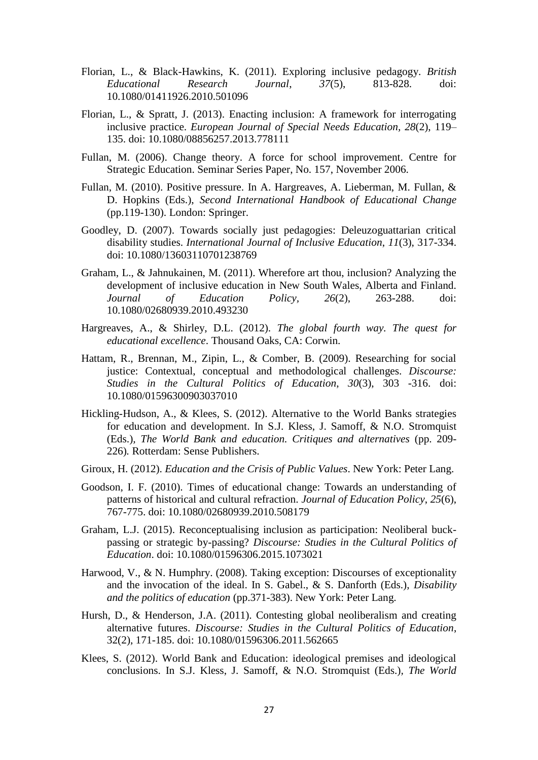- Florian, L., & Black-Hawkins, K. (2011). Exploring inclusive pedagogy. *British Educational Research Journal*, *37*(5), 813-828. doi: 10.1080/01411926.2010.501096
- Florian, L., & Spratt, J. (2013). Enacting inclusion: A framework for interrogating inclusive practice. *European Journal of Special Needs Education, 28*(2), 119– 135. doi: 10.1080/08856257.2013.778111
- Fullan, M. (2006). Change theory. A force for school improvement. Centre for Strategic Education. Seminar Series Paper, No. 157, November 2006.
- Fullan, M. (2010). Positive pressure. In A. Hargreaves, A. Lieberman, M. Fullan, & D. Hopkins (Eds.), *Second International Handbook of Educational Change*  (pp.119-130). London: Springer.
- Goodley, D. (2007). Towards socially just pedagogies: Deleuzoguattarian critical disability studies. *International Journal of Inclusive Education*, *11*(3), 317-334. doi: 10.1080/13603110701238769
- Graham, L., & Jahnukainen, M. (2011). Wherefore art thou, inclusion? Analyzing the development of inclusive education in New South Wales, Alberta and Finland. *Journal of Education Policy, 26*(2), 263-288. doi: 10.1080/02680939.2010.493230
- Hargreaves, A., & Shirley, D.L. (2012). *The global fourth way. The quest for educational excellence*. Thousand Oaks, CA: Corwin.
- Hattam, R., Brennan, M., Zipin, L., & Comber, B. (2009). Researching for social justice: Contextual, conceptual and methodological challenges. *Discourse: Studies in the Cultural Politics of Education*, *30*(3), 303 -316. doi: [10.1080/01596300903037010](http://doi.org/10.1080/01596300903037010)
- Hickling-Hudson, A., & Klees, S. (2012). Alternative to the World Banks strategies for education and development. In S.J. Kless, J. Samoff, & N.O. Stromquist (Eds.)*, The World Bank and education. Critiques and alternatives* (pp. 209- 226)*.* Rotterdam: Sense Publishers.
- Giroux, H. (2012). *Education and the Crisis of Public Values*. New York: Peter Lang.
- Goodson, I. F. (2010). Times of educational change: Towards an understanding of patterns of historical and cultural refraction. *Journal of Education Policy*, *25*(6), 767-775. doi: 10.1080/02680939.2010.508179
- Graham, L.J. (2015). Reconceptualising inclusion as participation: Neoliberal buckpassing or strategic by-passing? *Discourse: Studies in the Cultural Politics of Education*. doi: 10.1080/01596306.2015.1073021
- Harwood, V., & N. Humphry. (2008). Taking exception: Discourses of exceptionality and the invocation of the ideal. In S. Gabel., & S. Danforth (Eds.), *Disability and the politics of education* (pp.371-383). New York: Peter Lang.
- Hursh, D., & Henderson, J.A. (2011). Contesting global neoliberalism and creating alternative futures. *Discourse: Studies in the Cultural Politics of Education*, 32(2), 171-185. doi: 10.1080/01596306.2011.562665
- Klees, S. (2012). World Bank and Education: ideological premises and ideological conclusions. In S.J. Kless, J. Samoff, & N.O. Stromquist (Eds.)*, The World*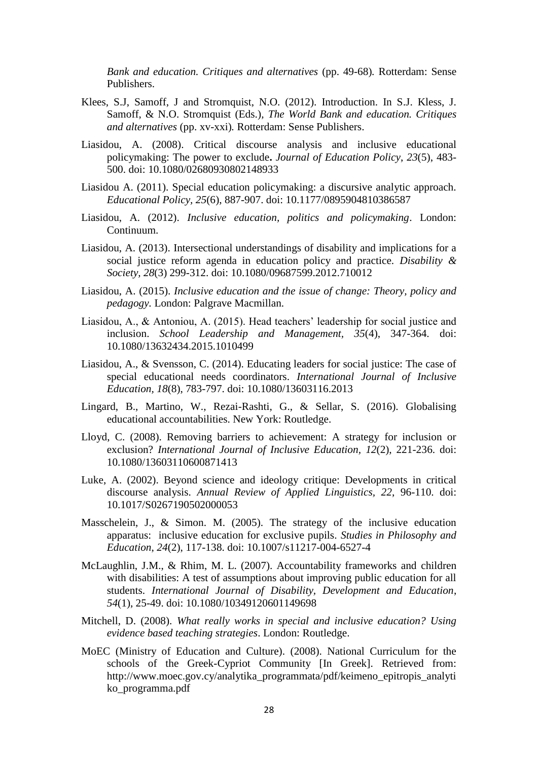*Bank and education. Critiques and alternatives* (pp. 49-68)*.* Rotterdam: Sense Publishers.

- Klees, S.J, Samoff, J and Stromquist, N.O. (2012). Introduction. In S.J. Kless, J. Samoff, & N.O. Stromquist (Eds.)*, The World Bank and education. Critiques and alternatives* (pp. xv-xxi)*.* Rotterdam: Sense Publishers.
- Liasidou, A. (2008). Critical discourse analysis and inclusive educational policymaking: The power to exclude**.** *Journal of Education Policy*, *23*(5), 483- 500. doi: 10.1080/02680930802148933
- Liasidou A. (2011). Special education policymaking: a discursive analytic approach. *Educational Policy, 25*(6), 887-907. doi: 10.1177/0895904810386587
- Liasidou, A. (2012). *Inclusive education, politics and policymaking*. London: Continuum.
- Liasidou, A. (2013). Intersectional understandings of disability and implications for a social justice reform agenda in education policy and practice. *Disability & Society, 28*(3) 299-312. doi: 10.1080/09687599.2012.710012
- Liasidou, A. (2015). *Inclusive education and the issue of change: Theory, policy and pedagogy.* London: Palgrave Macmillan.
- Liasidou, A., & Antoniou, A. (2015). Head teachers' leadership for social justice and inclusion. *School Leadership and Management, 35*(4), 347-364. doi: 10.1080/13632434.2015.1010499
- Liasidou, A., & Svensson, C. (2014). Educating leaders for social justice: The case of special educational needs coordinators. *International Journal of Inclusive Education, 18*(8), 783-797. doi: 10.1080/13603116.2013
- Lingard, B., Martino, W., Rezai-Rashti, G., & Sellar, S. (2016). Globalising educational accountabilities. New York: Routledge.
- Lloyd, C. (2008). Removing barriers to achievement: A strategy for inclusion or exclusion? *International Journal of Inclusive Education, 12*(2), 221-236. doi: 10.1080/13603110600871413
- Luke, A. (2002). Beyond science and ideology critique: Developments in critical discourse analysis. *Annual Review of Applied Linguistics, 22*, 96-110. doi: 10.1017/S0267190502000053
- Masschelein, J., & Simon. M. (2005). The strategy of the inclusive education apparatus: inclusive education for exclusive pupils. *Studies in Philosophy and Education*, *24*(2), 117-138. doi: 10.1007/s11217-004-6527-4
- McLaughlin, J.M., & Rhim, M. L. (2007). Accountability frameworks and children with disabilities: A test of assumptions about improving public education for all students. *International Journal of Disability, Development and Education*, *54*(1), 25-49. doi: 10.1080/10349120601149698
- Mitchell, D. (2008). *What really works in special and inclusive education? Using evidence based teaching strategies*. London: Routledge.
- MoEC (Ministry of Education and Culture). (2008). National Curriculum for the schools of the Greek-Cypriot Community [In Greek]. Retrieved from: [http://www.moec.gov.cy/analytika\\_programmata/pdf/keimeno\\_epitropis\\_analyti](http://www.moec.gov.cy/analytika_programmata/pdf/keimeno_epitropis_analytiko_programma.pdf) [ko\\_programma.pdf](http://www.moec.gov.cy/analytika_programmata/pdf/keimeno_epitropis_analytiko_programma.pdf)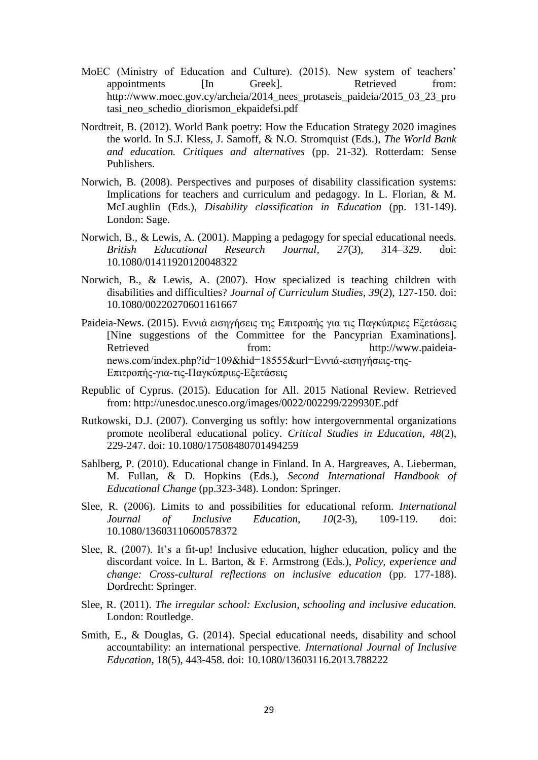- MoEC (Ministry of Education and Culture). (2015). New system of teachers' appointments [In Greek]. Retrieved from: [http://www.moec.gov.cy/archeia/2014\\_nees\\_protaseis\\_paideia/2015\\_03\\_23\\_pro](http://www.moec.gov.cy/archeia/2014_nees_protaseis_paideia/2015_03_23_protasi_neo_schedio_diorismon_ekpaidefsi.pdf) [tasi\\_neo\\_schedio\\_diorismon\\_ekpaidefsi.pdf](http://www.moec.gov.cy/archeia/2014_nees_protaseis_paideia/2015_03_23_protasi_neo_schedio_diorismon_ekpaidefsi.pdf)
- Nordtreit, B. (2012). World Bank poetry: How the Education Strategy 2020 imagines the world. In S.J. Kless, J. Samoff, & N.O. Stromquist (Eds.)*, The World Bank and education. Critiques and alternatives* (pp. 21-32)*.* Rotterdam: Sense Publishers.
- Norwich, B. (2008). Perspectives and purposes of disability classification systems: Implications for teachers and curriculum and pedagogy. In L. Florian, & M. McLaughlin (Eds.), *Disability classification in Education* (pp. 131-149). London: Sage.
- Norwich, B., & Lewis, A. (2001). Mapping a pedagogy for special educational needs. *British Educational Research Journal, 27*(3), 314–329. doi: 10.1080/01411920120048322
- Norwich, B., & Lewis, A. (2007). How specialized is teaching children with disabilities and difficulties? *Journal of Curriculum Studies*, *39*(2), 127-150. doi: 10.1080/00220270601161667
- Paideia-News. (2015). Εννιά εισηγήσεις της Επιτροπής για τις Παγκύπριες Εξετάσεις [Nine suggestions of the Committee for the Pancyprian Examinations]. Retrieved from: [http://www.paideia](http://www.paideia-news.com/index.php?id=109&hid=18555&url=Εννιά-εισηγήσεις-της-Επιτροπής-για-τις-Παγκύπριες-Εξετάσεις)[news.com/index.php?id=109&hid=18555&url=Εννιά-εισηγήσεις-της-](http://www.paideia-news.com/index.php?id=109&hid=18555&url=Εννιά-εισηγήσεις-της-Επιτροπής-για-τις-Παγκύπριες-Εξετάσεις)[Επιτροπής-για-τις-Παγκύπριες-Εξετάσεις](http://www.paideia-news.com/index.php?id=109&hid=18555&url=Εννιά-εισηγήσεις-της-Επιτροπής-για-τις-Παγκύπριες-Εξετάσεις)
- Republic of Cyprus. (2015). Education for All. 2015 National Review. Retrieved from:<http://unesdoc.unesco.org/images/0022/002299/229930E.pdf>
- Rutkowski, D.J. (2007). Converging us softly: how intergovernmental organizations promote neoliberal educational policy. *Critical Studies in Education*, *48*(2), 229-247. doi: 10.1080/17508480701494259
- Sahlberg, P. (2010). Educational change in Finland. In A. Hargreaves, A. Lieberman, M. Fullan, & D. Hopkins (Eds.), *Second International Handbook of Educational Change* (pp.323-348). London: Springer.
- Slee, R. (2006). Limits to and possibilities for educational reform. *International Journal of Inclusive Education, 10*(2-3), 109-119. doi: 10.1080/13603110600578372
- Slee, R. (2007). It's a fit-up! Inclusive education, higher education, policy and the discordant voice. In L. Barton, & F. Armstrong (Eds.), *Policy, experience and change: Cross-cultural reflections on inclusive education* (pp. 177-188). Dordrecht: Springer.
- Slee, R. (2011). *The irregular school: Exclusion, schooling and inclusive education.*  London: Routledge.
- Smith, E., & Douglas, G. (2014). Special educational needs, disability and school accountability: an international perspective. *International Journal of Inclusive Education*, 18(5), 443-458. doi: 10.1080/13603116.2013.788222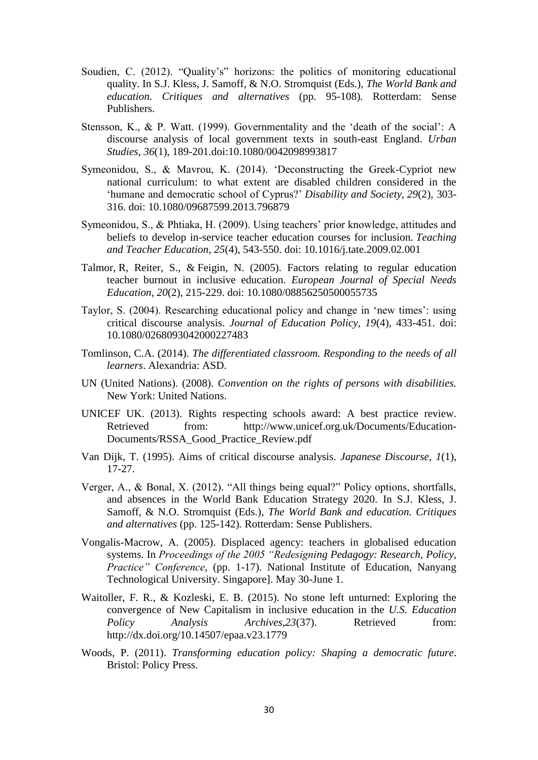- Soudien, C. (2012). "Quality's" horizons: the politics of monitoring educational quality. In S.J. Kless, J. Samoff, & N.O. Stromquist (Eds.)*, The World Bank and education. Critiques and alternatives* (pp. 95-108)*.* Rotterdam: Sense Publishers.
- Stensson, K., & P. Watt. (1999). Governmentality and the 'death of the social': A discourse analysis of local government texts in south-east England. *Urban Studies, 36*(1), 189-201.doi:10.1080/0042098993817
- Symeonidou, S., & Mavrou, K. (2014). 'Deconstructing the Greek-Cypriot new national curriculum: to what extent are disabled children considered in the 'humane and democratic school of Cyprus?' *Disability and Society, 29*(2), 303- 316. doi: 10.1080/09687599.2013.796879
- Symeonidou, S., & Phtiaka, H. (2009). Using teachers' prior knowledge, attitudes and beliefs to develop in-service teacher education courses for inclusion. *Teaching and Teacher Education, 25*(4), 543-550. doi: [10.1016/j.tate.2009.02.001](http://dx.doi.org/10.1016/j.tate.2009.02.001)
- [Talmor,](http://www.tandfonline.com/author/Talmor%2C+Rachel) R, [Reiter,](http://www.tandfonline.com/author/Reiter%2C+Shunit) S., & [Feigin,](http://www.tandfonline.com/author/Feigin%2C+Neomi) N. (2005). Factors relating to regular education teacher burnout in inclusive education. *European Journal of Special Needs Education*, *20*(2), 215-229. doi: 10.1080/08856250500055735
- Taylor, S. (2004). Researching educational policy and change in 'new times': using critical discourse analysis. *Journal of Education Policy, 19*(4), 433-451. doi: 10.1080/0268093042000227483
- Tomlinson, C.A. (2014). *The differentiated classroom. Responding to the needs of all learners*. Alexandria: ASD.
- UN (United Nations). (2008). *Convention on the rights of persons with disabilities.* New York: United Nations.
- UNICEF UK. (2013). Rights respecting schools award: A best practice review. Retrieved from: [http://www.unicef.org.uk/Documents/Education-](http://www.unicef.org.uk/Documents/Education-Documents/RSSA_Good_Practice_Review.pdf)[Documents/RSSA\\_Good\\_Practice\\_Review.pdf](http://www.unicef.org.uk/Documents/Education-Documents/RSSA_Good_Practice_Review.pdf)
- Van Dijk, T. (1995). Aims of critical discourse analysis. *Japanese Discourse*, *1*(1), 17-27.
- Verger, A., & Bonal, X. (2012). "All things being equal?" Policy options, shortfalls, and absences in the World Bank Education Strategy 2020. In S.J. Kless, J. Samoff, & N.O. Stromquist (Eds.)*, The World Bank and education. Critiques and alternatives* (pp. 125-142)*.* Rotterdam: Sense Publishers.
- Vongalis-Macrow, A. (2005). Displaced agency: teachers in globalised education systems. In *Proceedings of the 2005 "Redesigning Pedagogy: Research, Policy, Practice" Conference*, (pp. 1-17). National Institute of Education, Nanyang Technological University. Singapore]. May 30-June 1.
- Waitoller, F. R., & Kozleski, E. B. (2015). No stone left unturned: Exploring the convergence of New Capitalism in inclusive education in the *U.S. Education Policy Analysis Archives, 23(37).* Retrieved from: <http://dx.doi.org/10.14507/epaa.v23.1779>
- Woods, P. (2011). *Transforming education policy: Shaping a democratic future*. Bristol: Policy Press.